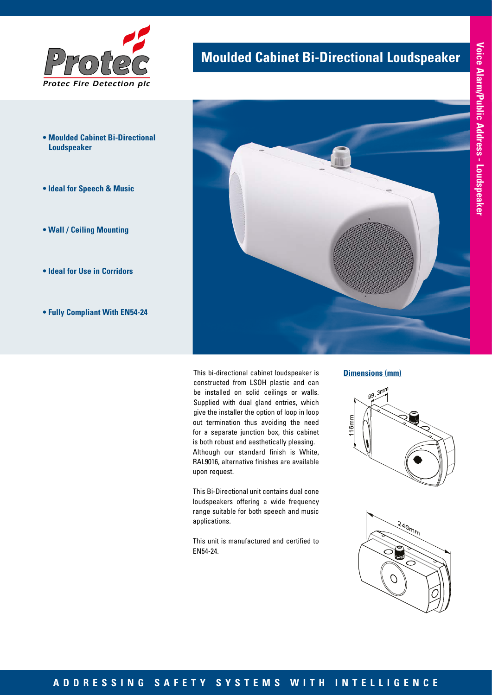

- **Moulded Cabinet Bi-Directional Loudspeaker**
- **Ideal for Speech & Music**
- **Wall / Ceiling Mounting**
- **Ideal for Use in Corridors**
- **Fully Compliant With EN54-24**

## **Moulded Cabinet Bi-Directional Loudspeaker**



This bi-directional cabinet loudspeaker is constructed from LSOH plastic and can be installed on solid ceilings or walls. Supplied with dual gland entries, which give the installer the option of loop in loop out termination thus avoiding the need for a separate junction box, this cabinet is both robust and aesthetically pleasing. Although our standard finish is White, RAL9016, alternative finishes are available upon request.

This Bi-Directional unit contains dual cone loudspeakers offering a wide frequency range suitable for both speech and music applications.

This unit is manufactured and certified to EN54-24.

#### **Dimensions (mm)**